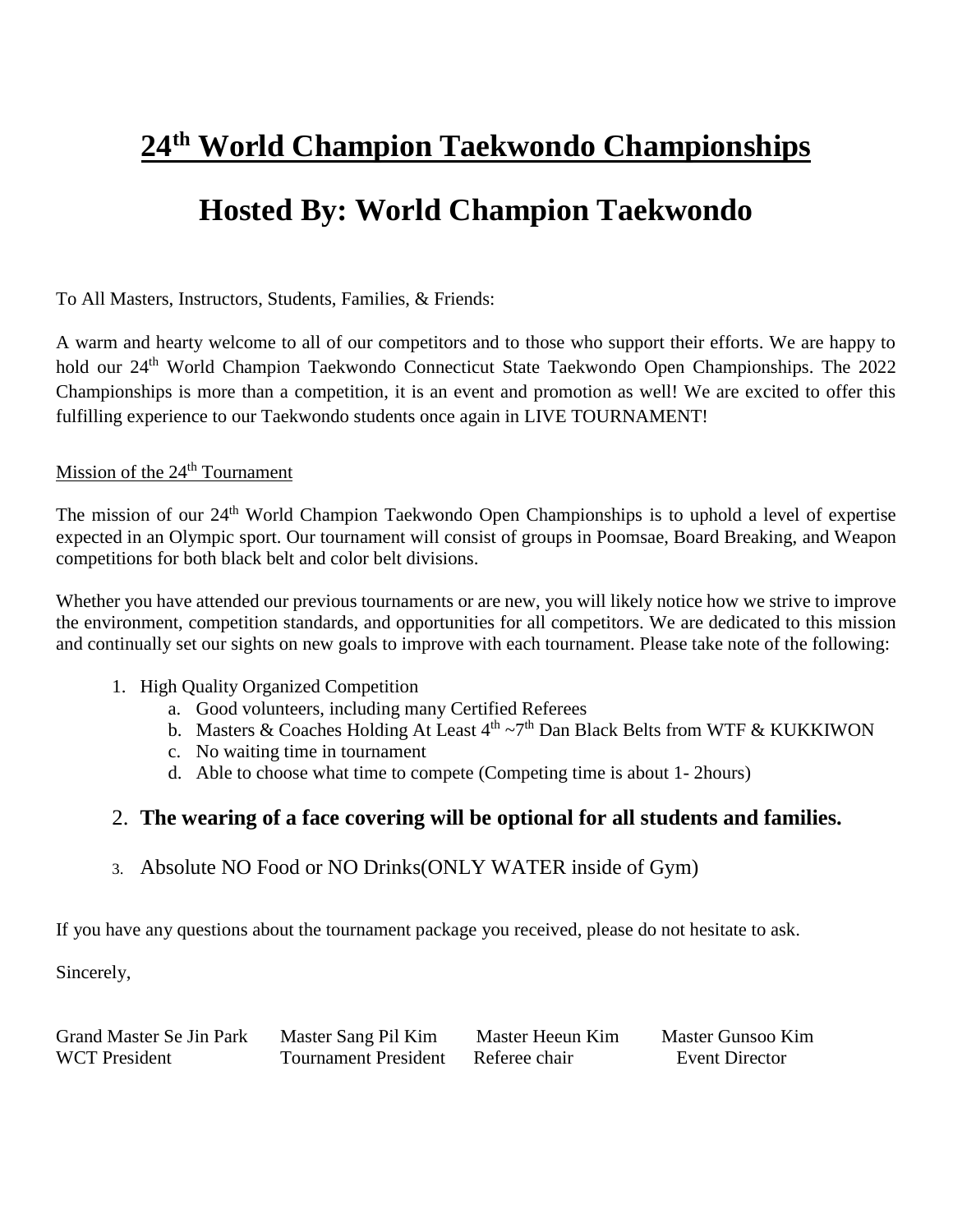# **24 th World Champion Taekwondo Championships**

# **Hosted By: World Champion Taekwondo**

To All Masters, Instructors, Students, Families, & Friends:

A warm and hearty welcome to all of our competitors and to those who support their efforts. We are happy to hold our 24<sup>th</sup> World Champion Taekwondo Connecticut State Taekwondo Open Championships. The 2022 Championships is more than a competition, it is an event and promotion as well! We are excited to offer this fulfilling experience to our Taekwondo students once again in LIVE TOURNAMENT!

#### Mission of the 24<sup>th</sup> Tournament

The mission of our 24<sup>th</sup> World Champion Taekwondo Open Championships is to uphold a level of expertise expected in an Olympic sport. Our tournament will consist of groups in Poomsae, Board Breaking, and Weapon competitions for both black belt and color belt divisions.

Whether you have attended our previous tournaments or are new, you will likely notice how we strive to improve the environment, competition standards, and opportunities for all competitors. We are dedicated to this mission and continually set our sights on new goals to improve with each tournament. Please take note of the following:

- 1. High Quality Organized Competition
	- a. Good volunteers, including many Certified Referees
	- b. Masters & Coaches Holding At Least  $4<sup>th</sup> \sim 7<sup>th</sup>$  Dan Black Belts from WTF & KUKKIWON
	- c. No waiting time in tournament
	- d. Able to choose what time to compete (Competing time is about 1- 2hours)

# 2. **The wearing of a face covering will be optional for all students and families.**

3. Absolute NO Food or NO Drinks(ONLY WATER inside of Gym)

If you have any questions about the tournament package you received, please do not hesitate to ask.

Sincerely,

Grand Master Se Jin Park Master Sang Pil Kim Master Heeun Kim Master Gunsoo Kim WCT President Tournament President Referee chair Event Director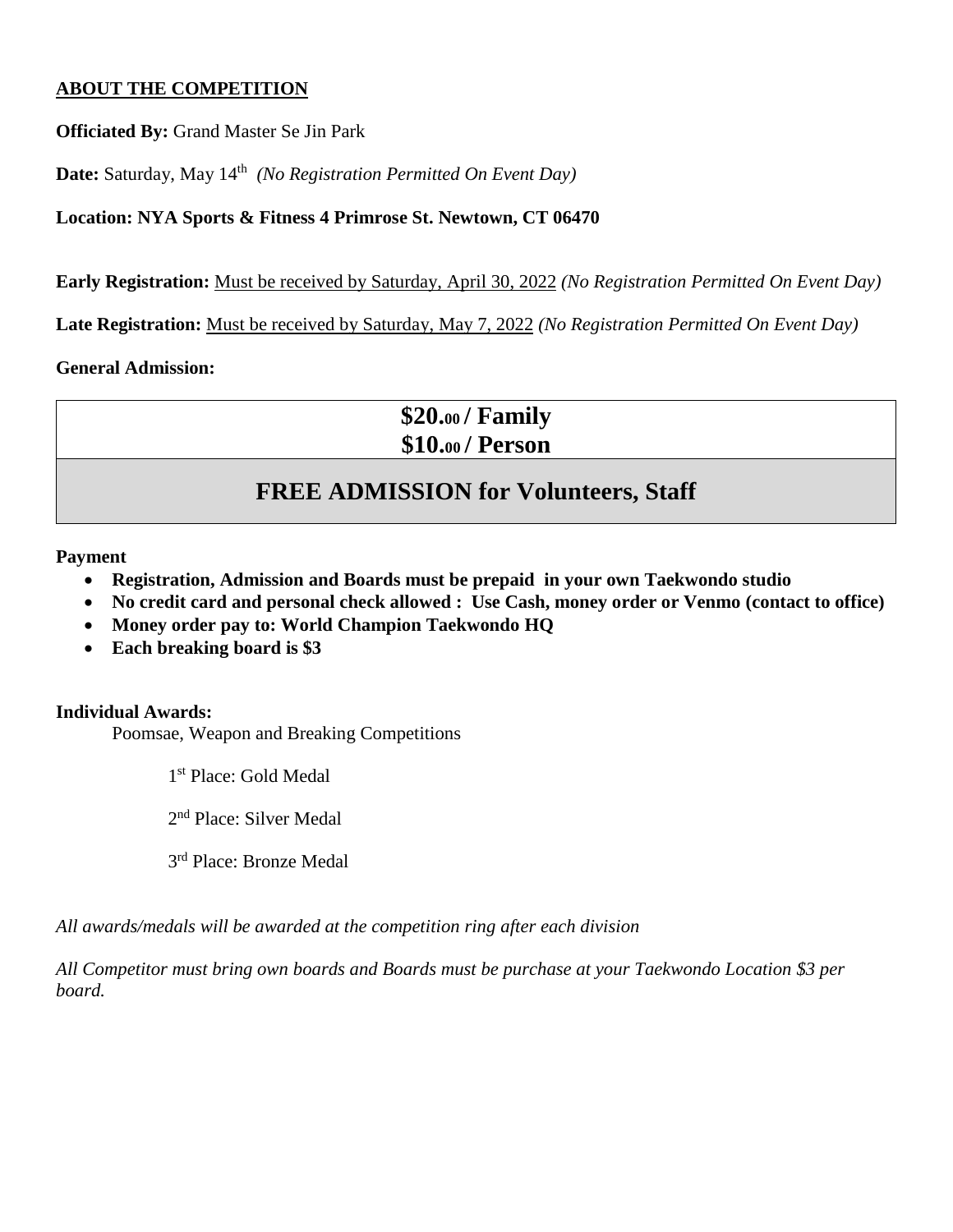## **ABOUT THE COMPETITION**

**Officiated By:** Grand Master Se Jin Park

**Date:** Saturday, May 14<sup>th</sup> (No Registration Permitted On Event Day)

# **Location: NYA Sports & Fitness 4 Primrose St. Newtown, CT 06470**

**Early Registration:** Must be received by Saturday, April 30, 2022 *(No Registration Permitted On Event Day)*

**Late Registration:** Must be received by Saturday, May 7, 2022 *(No Registration Permitted On Event Day)*

### **General Admission:**

**\$20.<sup>00</sup> / Family \$10.<sup>00</sup> / Person**

# **FREE ADMISSION for Volunteers, Staff**

**Payment** 

- **Registration, Admission and Boards must be prepaid in your own Taekwondo studio**
- **No credit card and personal check allowed : Use Cash, money order or Venmo (contact to office)**
- **Money order pay to: World Champion Taekwondo HQ**
- **Each breaking board is \$3**

### **Individual Awards:**

Poomsae, Weapon and Breaking Competitions

1 st Place: Gold Medal

2<sup>nd</sup> Place: Silver Medal

3<sup>rd</sup> Place: Bronze Medal

*All awards/medals will be awarded at the competition ring after each division*

*All Competitor must bring own boards and Boards must be purchase at your Taekwondo Location \$3 per board.*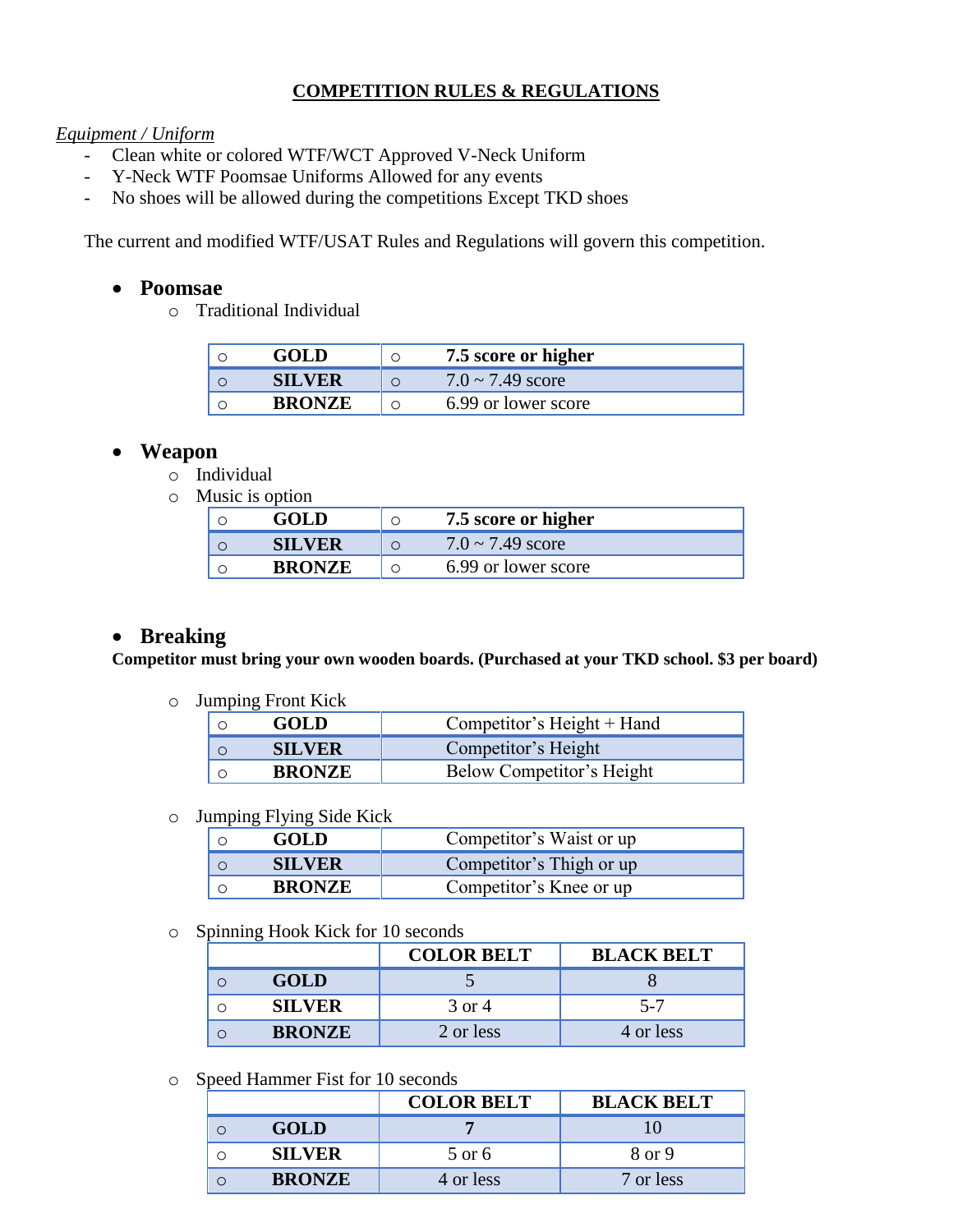# **COMPETITION RULES & REGULATIONS**

#### *Equipment / Uniform*

- Clean white or colored WTF/WCT Approved V-Neck Uniform
- Y-Neck WTF Poomsae Uniforms Allowed for any events
- No shoes will be allowed during the competitions Except TKD shoes

The current and modified WTF/USAT Rules and Regulations will govern this competition.

## **Poomsae**

o Traditional Individual

| <b>GOLD</b>   | 7.5 score or higher   |
|---------------|-----------------------|
| <b>SILVER</b> | $7.0 \sim 7.49$ score |
| <b>BRONZE</b> | 6.99 or lower score   |

# **Weapon**

- o Individual
- o Music is option

| GOL D         |         | 7.5 score or higher   |
|---------------|---------|-----------------------|
| <b>SILVER</b> | $\circ$ | $7.0 \sim 7.49$ score |
| <b>BRONZE</b> | $\circ$ | 6.99 or lower score   |

# **Breaking**

**Competitor must bring your own wooden boards. (Purchased at your TKD school. \$3 per board)** 

o Jumping Front Kick

| <b>GOLD</b>   | Competitor's Height + Hand |
|---------------|----------------------------|
| <b>SILVER</b> | Competitor's Height        |
| <b>BRONZE</b> | Below Competitor's Height  |

#### o Jumping Flying Side Kick

| <b>GOLD</b>   | Competitor's Waist or up |
|---------------|--------------------------|
| <b>SILVER</b> | Competitor's Thigh or up |
| <b>BRONZE</b> | Competitor's Knee or up  |

o Spinning Hook Kick for 10 seconds

| ຼ             | <b>COLOR BELT</b> | <b>BLACK BELT</b> |
|---------------|-------------------|-------------------|
| <b>GOLD</b>   |                   |                   |
| <b>SILVER</b> | 3 or 4            | $5 - 7$           |
| <b>BRONZE</b> | 2 or less         | 4 or less         |

o Speed Hammer Fist for 10 seconds

|               | <b>COLOR BELT</b> | <b>BLACK BELT</b> |
|---------------|-------------------|-------------------|
| <b>GOLD</b>   |                   |                   |
| <b>SILVER</b> | 5 or 6            | 8 or 9            |
| <b>BRONZE</b> | 4 or less         | 7 or less         |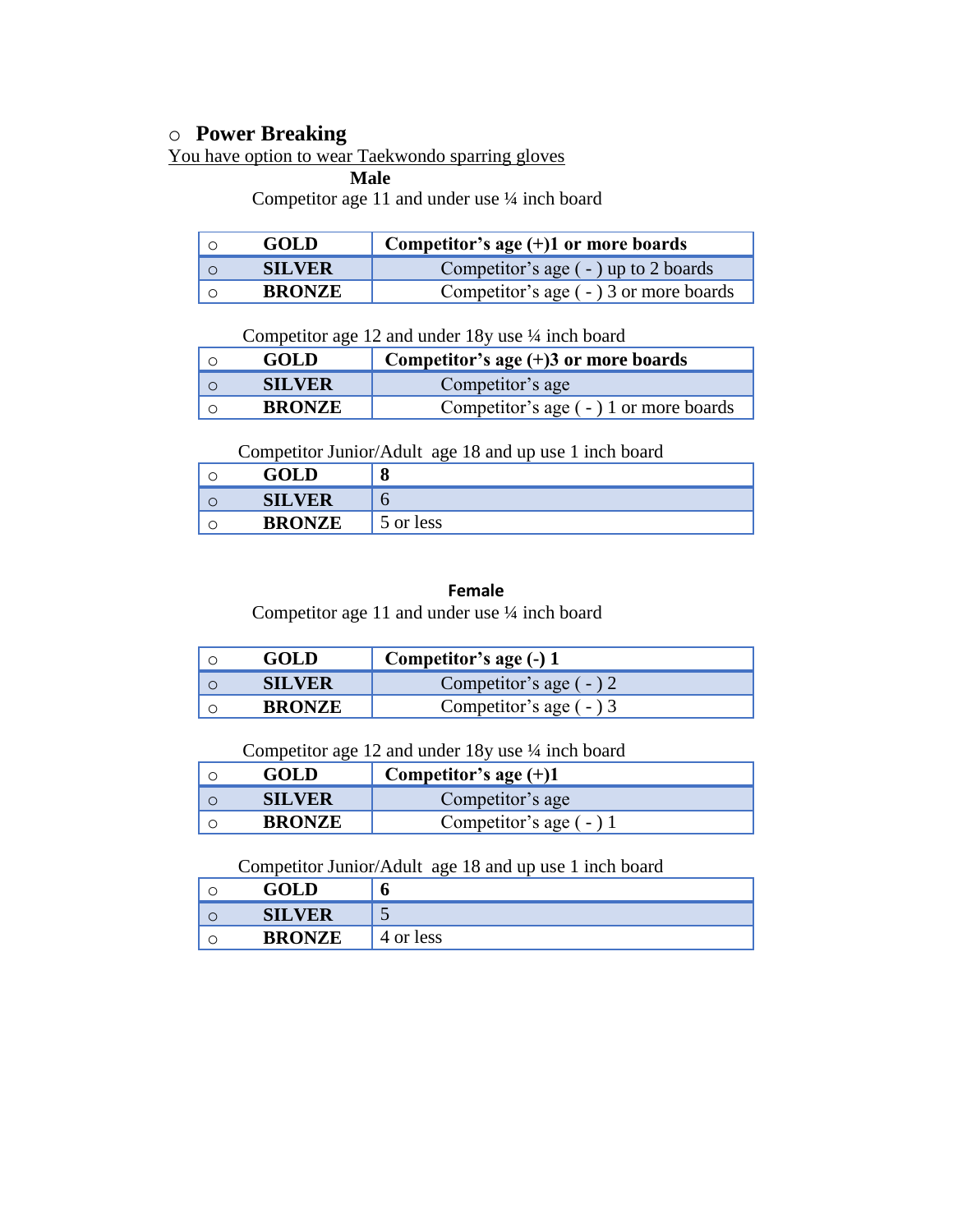# o **Power Breaking**

You have option to wear Taekwondo sparring gloves

 **Male**

Competitor age 11 and under use ¼ inch board

| <b>GOLD</b>   | Competitor's age $(+)1$ or more boards    |
|---------------|-------------------------------------------|
| <b>SILVER</b> | Competitor's age $($ - $)$ up to 2 boards |
| <b>BRONZE</b> | Competitor's age $(-)$ 3 or more boards   |

Competitor age 12 and under 18y use ¼ inch board

| <b>GOLD</b>   | Competitor's age $(+)$ 3 or more boards |
|---------------|-----------------------------------------|
| <b>SILVER</b> | Competitor's age                        |
| <b>BRONZE</b> | Competitor's age $(-)$ 1 or more boards |

Competitor Junior/Adult age 18 and up use 1 inch board

| GOLD          | О         |
|---------------|-----------|
| <b>SILVER</b> |           |
| <b>BRONZE</b> | 5 or less |

#### **Female**

Competitor age 11 and under use ¼ inch board

| GOLD          | Competitor's age (-) 1   |
|---------------|--------------------------|
| SILVER        | Competitor's age $(-)$ 2 |
| <b>BRONZE</b> | Competitor's age $(-)$ 3 |

#### Competitor age 12 and under 18y use ¼ inch board

| <b>GOLD</b>   | Competitor's age $(+)1$  |
|---------------|--------------------------|
| <b>SILVER</b> | Competitor's age         |
| <b>BRONZE</b> | Competitor's age $(-)$ 1 |

#### Competitor Junior/Adult age 18 and up use 1 inch board

| GOLD          | U         |
|---------------|-----------|
| <b>SILVER</b> |           |
| <b>BRONZE</b> | 4 or less |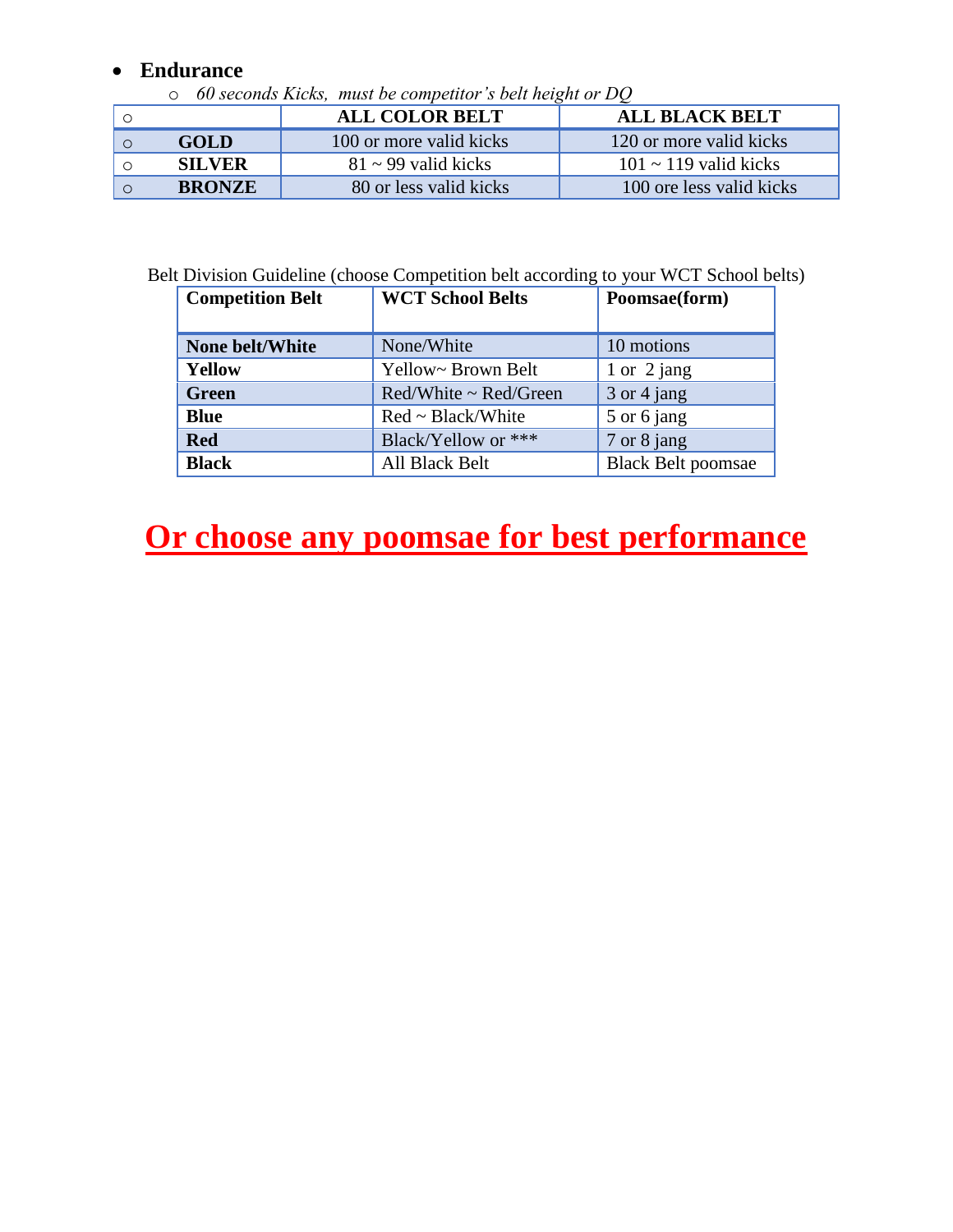# **Endurance**

o *60 seconds Kicks, must be competitor's belt height or DQ*

|               | <b>ALL COLOR BELT</b>    | <b>ALL BLACK BELT</b>      |
|---------------|--------------------------|----------------------------|
| <b>GOLD</b>   | 100 or more valid kicks  | 120 or more valid kicks    |
| <b>SILVER</b> | $81 \sim 99$ valid kicks | $101 \sim 119$ valid kicks |
| <b>BRONZE</b> | 80 or less valid kicks   | 100 ore less valid kicks   |

Belt Division Guideline (choose Competition belt according to your WCT School belts)

| <b>Competition Belt</b> | <b>WCT School Belts</b> | Poomsae(form)             |
|-------------------------|-------------------------|---------------------------|
|                         |                         |                           |
| None belt/White         | None/White              | 10 motions                |
| <b>Yellow</b>           | Yellow~ Brown Belt      | 1 or $2$ jang             |
| <b>Green</b>            | Red/White ~ Red/Green   | 3 or 4 jang               |
| <b>Blue</b>             | $Red \sim Black/White$  | 5 or 6 jang               |
| <b>Red</b>              | Black/Yellow or ***     | 7 or 8 jang               |
| <b>Black</b>            | All Black Belt          | <b>Black Belt poomsae</b> |

# **Or choose any poomsae for best performance**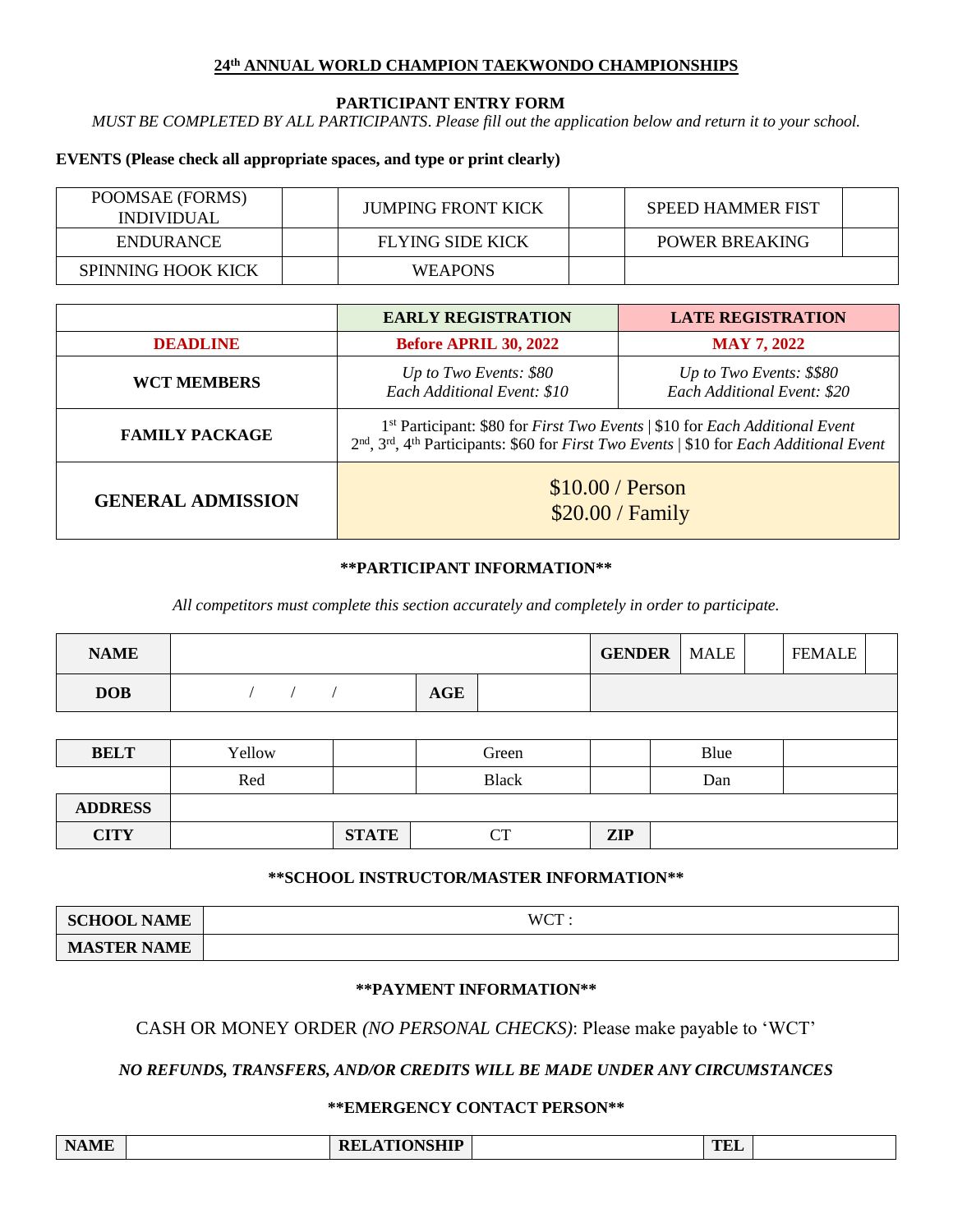#### **24 th ANNUAL WORLD CHAMPION TAEKWONDO CHAMPIONSHIPS**

#### **PARTICIPANT ENTRY FORM**

*MUST BE COMPLETED BY ALL PARTICIPANTS*. *Please fill out the application below and return it to your school.*

#### **EVENTS (Please check all appropriate spaces, and type or print clearly)**

| POOMSAE (FORMS)<br><i>INDIVIDUAL</i> | JUMPING FRONT KICK | <b>SPEED HAMMER FIST</b> |  |
|--------------------------------------|--------------------|--------------------------|--|
| <b>ENDURANCE</b>                     | FLYING SIDE KICK   | <b>POWER BREAKING</b>    |  |
| <b>SPINNING HOOK KICK</b>            | <b>WEAPONS</b>     |                          |  |

|                          | <b>EARLY REGISTRATION</b>                                                                                                                                                                                                                           | <b>LATE REGISTRATION</b>                                |  |
|--------------------------|-----------------------------------------------------------------------------------------------------------------------------------------------------------------------------------------------------------------------------------------------------|---------------------------------------------------------|--|
| <b>DEADLINE</b>          | <b>Before APRIL 30, 2022</b>                                                                                                                                                                                                                        | <b>MAY 7, 2022</b>                                      |  |
| <b>WCT MEMBERS</b>       | Up to Two Events: \$80<br>Each Additional Event: \$10                                                                                                                                                                                               | Up to Two Events: \$\$80<br>Each Additional Event: \$20 |  |
| <b>FAMILY PACKAGE</b>    | 1 <sup>st</sup> Participant: \$80 for <i>First Two Events</i>   \$10 for <i>Each Additional Event</i><br>2 <sup>nd</sup> , 3 <sup>rd</sup> , 4 <sup>th</sup> Participants: \$60 for <i>First Two Events</i>   \$10 for <i>Each Additional Event</i> |                                                         |  |
| <b>GENERAL ADMISSION</b> | \$10.00 / Person<br>\$20.00 / Family                                                                                                                                                                                                                |                                                         |  |

#### **\*\*PARTICIPANT INFORMATION\*\***

*All competitors must complete this section accurately and completely in order to participate.*

| <b>NAME</b> |        |            |       | <b>GENDER</b>   MALE |      | <b>FEMALE</b> |  |
|-------------|--------|------------|-------|----------------------|------|---------------|--|
| <b>DOB</b>  |        | <b>AGE</b> |       |                      |      |               |  |
|             |        |            |       |                      |      |               |  |
| <b>BELT</b> | Yellow |            | Green |                      | Blue |               |  |

|                | Red |              | <b>Black</b> |            | Dan |  |
|----------------|-----|--------------|--------------|------------|-----|--|
| <b>ADDRESS</b> |     |              |              |            |     |  |
| <b>CITY</b>    |     | <b>STATE</b> | $\sim$<br>◡▴ | <b>ZIP</b> |     |  |

#### **\*\*SCHOOL INSTRUCTOR/MASTER INFORMATION\*\***

| <b>SCHOOL NAME</b> | <b>WCT</b><br>$\sim$ . |
|--------------------|------------------------|
| <b>MASTER NAME</b> |                        |

#### **\*\*PAYMENT INFORMATION\*\***

#### CASH OR MONEY ORDER *(NO PERSONAL CHECKS)*: Please make payable to 'WCT'

*NO REFUNDS, TRANSFERS, AND/OR CREDITS WILL BE MADE UNDER ANY CIRCUMSTANCES*

#### **\*\*EMERGENCY CONTACT PERSON\*\***